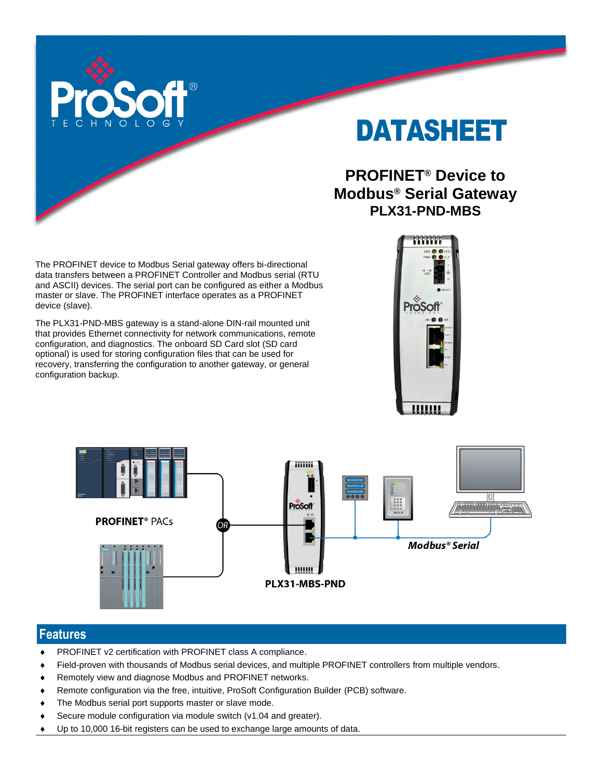

# DATASHEET

# **PROFINET® Device to Modbus® Serial Gateway PLX31-PND-MBS**

The PROFINET device to Modbus Serial gateway offers bi-directional data transfers between a PROFINET Controller and Modbus serial (RTU and ASCII) devices. The serial port can be configured as either a Modbus master or slave. The PROFINET interface operates as a PROFINET device (slave).

The PLX31-PND-MBS gateway is a stand-alone DIN-rail mounted unit that provides Ethernet connectivity for network communications, remote configuration, and diagnostics. The onboard SD Card slot (SD card optional) is used for storing configuration files that can be used for recovery, transferring the configuration to another gateway, or general configuration backup.





## **Features**

- PROFINET v2 certification with PROFINET class A compliance.
- Field-proven with thousands of Modbus serial devices, and multiple PROFINET controllers from multiple vendors.
- Remotely view and diagnose Modbus and PROFINET networks.
- Remote configuration via the free, intuitive, ProSoft Configuration Builder (PCB) software.
- The Modbus serial port supports master or slave mode.
- Secure module configuration via module switch (v1.04 and greater).
- Up to 10,000 16-bit registers can be used to exchange large amounts of data.